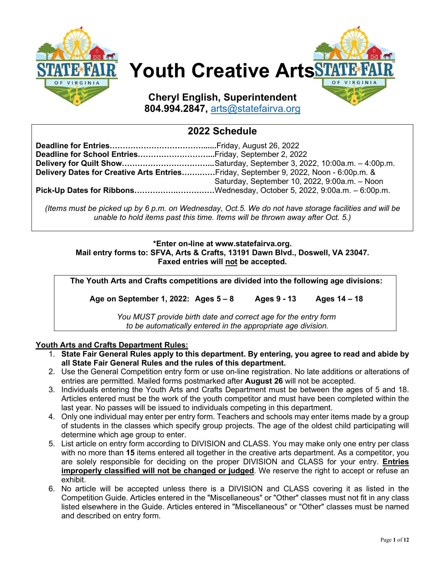

# **Youth Creative Arts**

**Cheryl English, Superintendent 804.994.2847,** [arts@statefairva.org](mailto:arts@statefairva.org)

# **2022 Schedule**

| Delivery Dates for Creative Arts EntriesFriday, September 9, 2022, Noon - 6:00p.m. & |                                               |  |
|--------------------------------------------------------------------------------------|-----------------------------------------------|--|
|                                                                                      | Saturday, September 10, 2022, 9:00a.m. - Noon |  |
| Pick-Up Dates for RibbonsWednesday, October 5, 2022, 9:00a.m. - 6:00p.m.             |                                               |  |

*(Items must be picked up by 6 p.m. on Wednesday, Oct.5. We do not have storage facilities and will be unable to hold items past this time. Items will be thrown away after Oct. 5.)*

### **\*Enter on-line at www.statefairva.org. Mail entry forms to: SFVA, Arts & Crafts, 13191 Dawn Blvd., Doswell, VA 23047. Faxed entries will not be accepted.**

**The Youth Arts and Crafts competitions are divided into the following age divisions:**

**Age on September 1, 2022: Ages 5 – 8 Ages 9 - 13 Ages 14 – 18**

*You MUST provide birth date and correct age for the entry form to be automatically entered in the appropriate age division.*

# **Youth Arts and Crafts Department Rules:**

- 1. **State Fair General Rules apply to this department. By entering, you agree to read and abide by all State Fair General Rules and the rules of this department.**
- 2. Use the General Competition entry form or use on-line registration. No late additions or alterations of entries are permitted. Mailed forms postmarked after **August 26** will not be accepted.
- 3. Individuals entering the Youth Arts and Crafts Department must be between the ages of 5 and 18. Articles entered must be the work of the youth competitor and must have been completed within the last year. No passes will be issued to individuals competing in this department.
- 4. Only one individual may enter per entry form. Teachers and schools may enter items made by a group of students in the classes which specify group projects. The age of the oldest child participating will determine which age group to enter.
- 5. List article on entry form according to DIVISION and CLASS. You may make only one entry per class with no more than **15** items entered all together in the creative arts department. As a competitor, you are solely responsible for deciding on the proper DIVISION and CLASS for your entry. **Entries improperly classified will not be changed or judged**. We reserve the right to accept or refuse an exhibit.
- 6. No article will be accepted unless there is a DIVISION and CLASS covering it as listed in the Competition Guide. Articles entered in the "Miscellaneous" or "Other" classes must not fit in any class listed elsewhere in the Guide. Articles entered in "Miscellaneous" or "Other" classes must be named and described on entry form.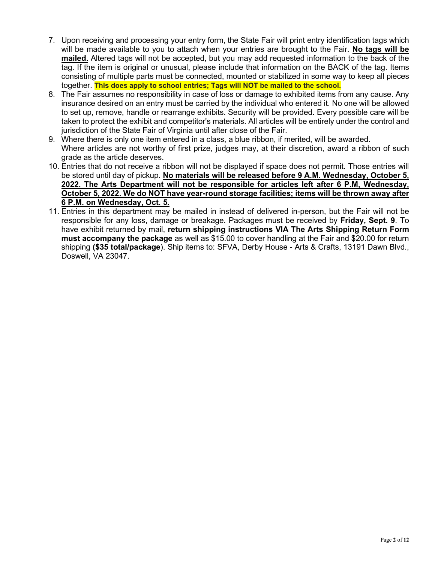- 7. Upon receiving and processing your entry form, the State Fair will print entry identification tags which will be made available to you to attach when your entries are brought to the Fair. **No tags will be mailed.** Altered tags will not be accepted, but you may add requested information to the back of the tag. If the item is original or unusual, please include that information on the BACK of the tag. Items consisting of multiple parts must be connected, mounted or stabilized in some way to keep all pieces together. **This does apply to school entries; Tags will NOT be mailed to the school.**
- 8. The Fair assumes no responsibility in case of loss or damage to exhibited items from any cause. Any insurance desired on an entry must be carried by the individual who entered it. No one will be allowed to set up, remove, handle or rearrange exhibits. Security will be provided. Every possible care will be taken to protect the exhibit and competitor's materials. All articles will be entirely under the control and jurisdiction of the State Fair of Virginia until after close of the Fair.
- 9. Where there is only one item entered in a class, a blue ribbon, if merited, will be awarded. Where articles are not worthy of first prize, judges may, at their discretion, award a ribbon of such grade as the article deserves.
- 10. Entries that do not receive a ribbon will not be displayed if space does not permit. Those entries will be stored until day of pickup. **No materials will be released before 9 A.M. Wednesday, October 5, 2022. The Arts Department will not be responsible for articles left after 6 P.M, Wednesday, October 5, 2022. We do NOT have year-round storage facilities; items will be thrown away after 6 P.M. on Wednesday, Oct. 5.**
- 11. Entries in this department may be mailed in instead of delivered in-person, but the Fair will not be responsible for any loss, damage or breakage. Packages must be received by **Friday, Sept. 9**. To have exhibit returned by mail, **return shipping instructions VIA The Arts Shipping Return Form must accompany the package** as well as \$15.00 to cover handling at the Fair and \$20.00 for return shipping **(\$35 total/package**). Ship items to: SFVA, Derby House - Arts & Crafts, 13191 Dawn Blvd., Doswell, VA 23047.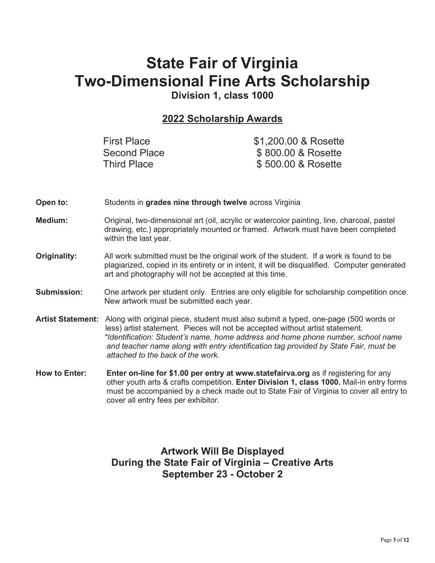# **State Fair of Virginia Two-Dimensional Fine Arts Scholarship**

**Division 1, class 1000**

# **2022 Scholarship Awards**

| <b>First Place</b> | \$1,200.00 & Rosette |
|--------------------|----------------------|
| Second Place       | \$800.00 & Rosette   |
| <b>Third Place</b> | \$500.00 & Rosette   |

- **Open to:** Students in **grades nine through twelve** across Virginia
- **Medium:** Original, two-dimensional art (oil, acrylic or watercolor painting, line, charcoal, pastel drawing, etc.) appropriately mounted or framed. Artwork must have been completed within the last year.
- **Originality:** All work submitted must be the original work of the student. If a work is found to be plagiarized, copied in its entirety or in intent, it will be disqualified. Computer generated art and photography will not be accepted at this time.
- **Submission:** One artwork per student only. Entries are only eligible for scholarship competition once. New artwork must be submitted each year.
- **Artist Statement:** Along with original piece, student must also submit a typed, one-page (500 words or less) artist statement. Pieces will not be accepted without artist statement.  *\*Identification: Student's name, home address and home phone number, school name and teacher name along with entry identification tag provided by State Fair, must be attached to the back of the work.*
- **How to Enter:** Enter on-line for \$1.00 per entry at www.statefairva.org as if registering for any other youth arts & crafts competition. **Enter Division 1, class 1000.** Mail-in entry forms must be accompanied by a check made out to State Fair of Virginia to cover all entry to cover all entry fees per exhibitor.

# **Artwork Will Be Displayed During the State Fair of Virginia – Creative Arts September 23 - October 2**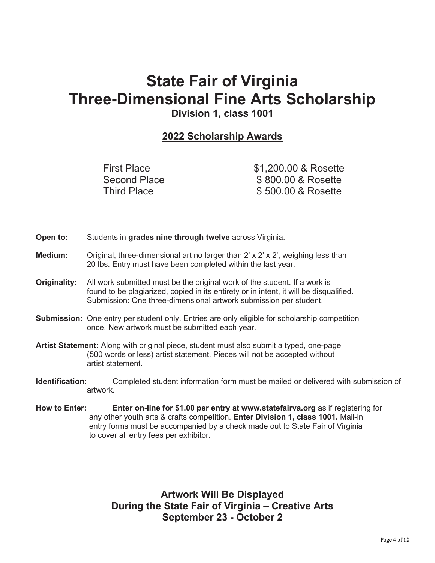# **State Fair of Virginia Three-Dimensional Fine Arts Scholarship**

**Division 1, class 1001**

# **2022 Scholarship Awards**

First Place \$1,200.00 & Rosette Second Place  $\$ 800.00 \& \text{ Rosette}$ <br>Third Place  $\$ 500.00 \& \text{ Rosette}$ \$ 500.00 & Rosette

- **Open to:** Students in **grades nine through twelve** across Virginia.
- **Medium:** Original, three-dimensional art no larger than 2' x 2' x 2', weighing less than 20 lbs. Entry must have been completed within the last year.
- **Originality:** All work submitted must be the original work of the student. If a work is found to be plagiarized, copied in its entirety or in intent, it will be disqualified. Submission: One three-dimensional artwork submission per student.
- **Submission:** One entry per student only. Entries are only eligible for scholarship competition once. New artwork must be submitted each year.
- **Artist Statement:** Along with original piece, student must also submit a typed, one-page (500 words or less) artist statement. Pieces will not be accepted without artist statement.
- **Identification:** Completed student information form must be mailed or delivered with submission of artwork.
- **How to Enter: Enter on-line for \$1.00 per entry at www.statefairva.org** as if registering for any other youth arts & crafts competition. **Enter Division 1, class 1001.** Mail-in entry forms must be accompanied by a check made out to State Fair of Virginia to cover all entry fees per exhibitor.

**Artwork Will Be Displayed During the State Fair of Virginia – Creative Arts September 23 - October 2**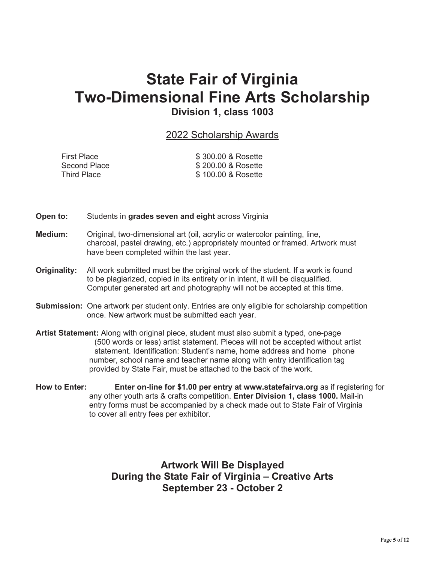# **State Fair of Virginia Two-Dimensional Fine Arts Scholarship Division 1, class 1003**

# 2022 Scholarship Awards

| <b>First Place</b> | \$300.00 & Rosette |
|--------------------|--------------------|
| Second Place       | \$200.00 & Rosette |
| Third Place        | \$100.00 & Rosette |

- **Open to:** Students in **grades seven and eight** across Virginia
- **Medium:** Original, two-dimensional art (oil, acrylic or watercolor painting, line, charcoal, pastel drawing, etc.) appropriately mounted or framed. Artwork must have been completed within the last year.
- **Originality:** All work submitted must be the original work of the student. If a work is found to be plagiarized, copied in its entirety or in intent, it will be disqualified. Computer generated art and photography will not be accepted at this time.
- **Submission:** One artwork per student only. Entries are only eligible for scholarship competition once. New artwork must be submitted each year.
- **Artist Statement:** Along with original piece, student must also submit a typed, one-page (500 words or less) artist statement. Pieces will not be accepted without artist statement. Identification: Student's name, home address and home phone number, school name and teacher name along with entry identification tag provided by State Fair, must be attached to the back of the work.
- **How to Enter: Enter on-line for \$1.00 per entry at www.statefairva.org** as if registering for any other youth arts & crafts competition. **Enter Division 1, class 1000.** Mail-in entry forms must be accompanied by a check made out to State Fair of Virginia to cover all entry fees per exhibitor.

**Artwork Will Be Displayed During the State Fair of Virginia – Creative Arts September 23 - October 2**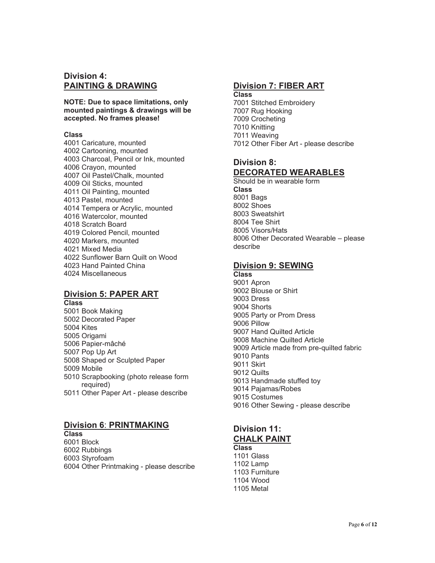## **Division 4: PAINTING & DRAWING**

**NOTE: Due to space limitations, only mounted paintings & drawings will be accepted. No frames please!**

#### **Class**

4001 Caricature, mounted 4002 Cartooning, mounted 4003 Charcoal, Pencil or Ink, mounted 4006 Crayon, mounted 4007 Oil Pastel/Chalk, mounted 4009 Oil Sticks, mounted 4011 Oil Painting, mounted 4013 Pastel, mounted 4014 Tempera or Acrylic, mounted 4016 Watercolor, mounted 4018 Scratch Board 4019 Colored Pencil, mounted 4020 Markers, mounted 4021 Mixed Media 4022 Sunflower Barn Quilt on Wood 4023 Hand Painted China 4024 Miscellaneous

# **Division 5: PAPER ART**

**Class** 5001 Book Making 5002 Decorated Paper 5004 Kites 5005 Origami 5006 Papier-mâché 5007 Pop Up Art 5008 Shaped or Sculpted Paper 5009 Mobile 5010 Scrapbooking (photo release form required) 5011 Other Paper Art - please describe

# **Division 6**: **PRINTMAKING**

**Class** 6001 Block 6002 Rubbings 6003 Styrofoam 6004 Other Printmaking - please describe

## **Division 7: FIBER ART**

**Class** 7001 Stitched Embroidery 7007 Rug Hooking 7009 Crocheting 7010 Knitting 7011 Weaving 7012 Other Fiber Art - please describe

# **Division 8: DECORATED WEARABLES**

Should be in wearable form **Class** 8001 Bags 8002 Shoes 8003 Sweatshirt 8004 Tee Shirt 8005 Visors/Hats 8006 Other Decorated Wearable – please describe

# **Division 9: SEWING**

**Class** 9001 Apron 9002 Blouse or Shirt 9003 Dress 9004 Shorts 9005 Party or Prom Dress 9006 Pillow 9007 Hand Quilted Article 9008 Machine Quilted Article 9009 Article made from pre-quilted fabric 9010 Pants 9011 Skirt 9012 Quilts 9013 Handmade stuffed toy 9014 Pajamas/Robes 9015 Costumes 9016 Other Sewing - please describe

# **Division 11: CHALK PAINT**

**Class** 1101 Glass 1102 Lamp 1103 Furniture 1104 Wood 1105 Metal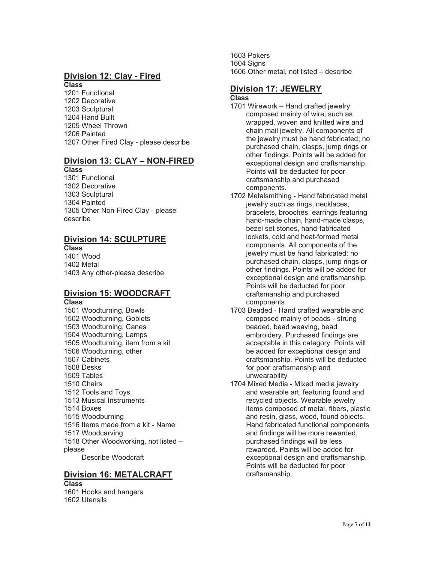#### **Division 12: Clay - Fired Class**

1201 Functional 1202 Decorative 1203 Sculptural 1204 Hand Built 1205 Wheel Thrown 1206 Painted 1207 Other Fired Clay - please describe

#### **Division 13: CLAY – NON-FIRED Class**

1301 Functional 1302 Decorative 1303 Sculptural 1304 Painted 1305 Other Non-Fired Clay - please describe

#### **Division 14: SCULPTURE Class**

1401 Wood 1402 Metal 1403 Any other-please describe

# **Division 15: WOODCRAFT**

**Class**

1501 Woodturning, Bowls 1502 Woodturning, Goblets 1503 Woodturning, Canes 1504 Woodturning, Lamps 1505 Woodturning, item from a kit 1506 Woodturning, other 1507 Cabinets 1508 Desks 1509 Tables 1510 Chairs 1512 Tools and Toys 1513 Musical Instruments 1514 Boxes 1515 Woodburning 1516 Items made from a kit - Name 1517 Woodcarving 1518 Other Woodworking, not listed – please Describe Woodcraft

# **Division 16: METALCRAFT**

**Class** 1601 Hooks and hangers 1602 Utensils

1603 Pokers 1604 Sians 1606 Other metal, not listed – describe

#### **Division 17: JEWELRY Class**

- 1701 Wirework Hand crafted jewelry composed mainly of wire; such as wrapped, woven and knitted wire and chain mail jewelry. All components of the jewelry must be hand fabricated; no purchased chain, clasps, jump rings or other findings. Points will be added for exceptional design and craftsmanship. Points will be deducted for poor craftsmanship and purchased components.
- 1702 Metalsmithing Hand fabricated metal jewelry such as rings, necklaces, bracelets, brooches, earrings featuring hand-made chain, hand-made clasps, bezel set stones, hand-fabricated lockets, cold and heat-formed metal components. All components of the jewelry must be hand fabricated; no purchased chain, clasps, jump rings or other findings. Points will be added for exceptional design and craftsmanship. Points will be deducted for poor craftsmanship and purchased components.
- 1703 Beaded Hand crafted wearable and composed mainly of beads - strung beaded, bead weaving, bead embroidery. Purchased findings are acceptable in this category. Points will be added for exceptional design and craftsmanship. Points will be deducted for poor craftsmanship and unwearability
- 1704 Mixed Media Mixed media jewelry and wearable art, featuring found and recycled objects. Wearable jewelry items composed of metal, fibers, plastic and resin, glass, wood, found objects. Hand fabricated functional components and findings will be more rewarded, purchased findings will be less rewarded. Points will be added for exceptional design and craftsmanship. Points will be deducted for poor craftsmanship.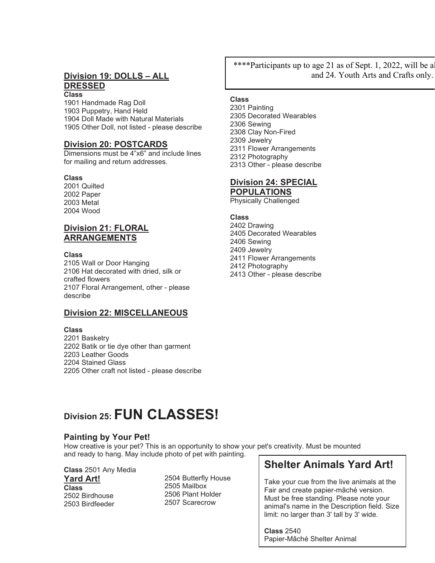#### **Division 19: DOLLS – ALL DRESSED Class**

1901 Handmade Rag Doll 1903 Puppetry, Hand Held 1904 Doll Made with Natural Materials 1905 Other Doll, not listed - please describe

#### **Division 20: POSTCARDS**

Dimensions must be 4"x6" and include lines for mailing and return addresses.

#### **Class**

2001 Quilted 2002 Paper 2003 Metal 2004 Wood

# **Division 21: FLORAL ARRANGEMENTS**

#### **Class**

2105 Wall or Door Hanging 2106 Hat decorated with dried, silk or crafted flowers 2107 Floral Arrangement, other - please describe

# **Division 22: MISCELLANEOUS**

#### **Class**

2201 Basketry 2202 Batik or tie dye other than garment 2203 Leather Goods 2204 Stained Glass 2205 Other craft not listed - please describe \*\*\*\*Participants up to age 21 as of Sept. 1, 2022, will be all and 24. Youth Arts and Crafts only.

#### **Class**

2301 Painting 2305 Decorated Wearables 2306 Sewing 2308 Clay Non-Fired 2309 Jewelry 2311 Flower Arrangements 2312 Photography 2313 Other - please describe

# **Division 24: SPECIAL**

**POPULATIONS** Physically Challenged

#### **Class**

2402 Drawing 2405 Decorated Wearables 2406 Sewing 2409 Jewelry 2411 Flower Arrangements 2412 Photography 2413 Other - please describe

# **Division 25: FUN CLASSES!**

# **Painting by Your Pet!**

How creative is your pet? This is an opportunity to show your pet's creativity. Must be mounted and ready to hang. May include photo of pet with painting.

**Class** 2501 Any Media **Yard Art! Class** 2502 Birdhouse 2503 Birdfeeder

2504 Butterfly House 2505 Mailbox 2506 Plant Holder 2507 Scarecrow

# **Shelter Animals Yard Art!**

Take your cue from the live animals at the Fair and create papier-mâché version. Must be free standing. Please note your animal's name in the Description field. Size limit: no larger than 3' tall by 3' wide.

**Class** 2540 Papier-Mâché Shelter Animal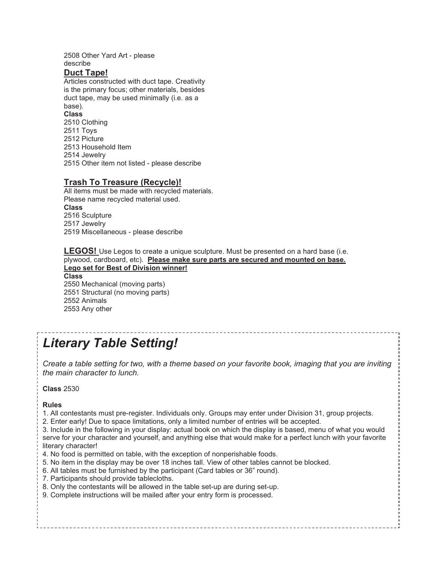#### 2508 Other Yard Art - please describe

#### **Duct Tape!**

Articles constructed with duct tape. Creativity is the primary focus; other materials, besides duct tape, may be used minimally (i.e. as a base). **Class** 2510 Clothing 2511 Toys 2512 Picture 2513 Household Item 2514 Jewelry 2515 Other item not listed - please describe

## **Trash To Treasure (Recycle)!**

All items must be made with recycled materials. Please name recycled material used. **Class** 2516 Sculpture 2517 Jewelry 2519 Miscellaneous - please describe

**LEGOS!** Use Legos to create a unique sculpture. Must be presented on a hard base (i.e. plywood, cardboard, etc). **Please make sure parts are secured and mounted on base. Lego set for Best of Division winner! Class**  2550 Mechanical (moving parts)

2551 Structural (no moving parts) 2552 Animals 2553 Any other

# *Literary Table Setting!*

*Create a table setting for two, with a theme based on your favorite book, imaging that you are inviting the main character to lunch.*

----------------------------

**Class** 2530

#### **Rules**

- 1. All contestants must pre-register. Individuals only. Groups may enter under Division 31, group projects.
- 2. Enter early! Due to space limitations, only a limited number of entries will be accepted.

3. Include in the following in your display: actual book on which the display is based, menu of what you would serve for your character and yourself, and anything else that would make for a perfect lunch with your favorite literary character!

Page **9** of **12**

- 4. No food is permitted on table, with the exception of nonperishable foods.
- 5. No item in the display may be over 18 inches tall. View of other tables cannot be blocked.
- 6. All tables must be furnished by the participant (Card tables or 36" round).
- 7. Participants should provide tablecloths.
- 8. Only the contestants will be allowed in the table set-up are during set-up.
- 9. Complete instructions will be mailed after your entry form is processed.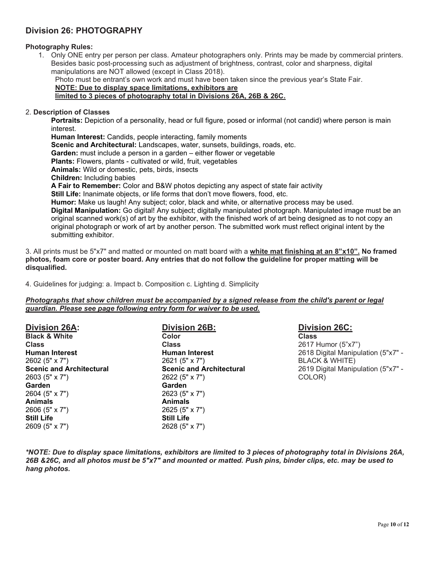# **Division 26: PHOTOGRAPHY**

#### **Photography Rules:**

1. Only ONE entry per person per class. Amateur photographers only. Prints may be made by commercial printers. Besides basic post-processing such as adjustment of brightness, contrast, color and sharpness, digital manipulations are NOT allowed (except in Class 2018).

Photo must be entrant's own work and must have been taken since the previous year's State Fair.

# **NOTE: Due to display space limitations, exhibitors are**

#### **limited to 3 pieces of photography total in Divisions 26A, 26B & 26C.**

#### 2. **Description of Classes**

**Portraits:** Depiction of a personality, head or full figure, posed or informal (not candid) where person is main interest.

**Human Interest:** Candids, people interacting, family moments **Scenic and Architectural:** Landscapes, water, sunsets, buildings, roads, etc. **Garden:** must include a person in a garden – either flower or vegetable **Plants:** Flowers, plants - cultivated or wild, fruit, vegetables **Animals:** Wild or domestic, pets, birds, insects **Children:** Including babies **A Fair to Remember:** Color and B&W photos depicting any aspect of state fair activity **Still Life:** Inanimate objects, or life forms that don't move flowers, food, etc. **Humor:** Make us laugh! Any subject; color, black and white, or alternative process may be used. **Digital Manipulation:** Go digital! Any subject; digitally manipulated photograph. Manipulated image must be an original scanned work(s) of art by the exhibitor, with the finished work of art being designed as to not copy an original photograph or work of art by another person. The submitted work must reflect original intent by the submitting exhibitor.

3. All prints must be 5"x7" and matted or mounted on matt board with a **white mat finishing at an 8"x10". No framed photos, foam core or poster board. Any entries that do not follow the guideline for proper matting will be disqualified.**

4. Guidelines for judging: a. Impact b. Composition c. Lighting d. Simplicity

#### *Photographs that show children must be accompanied by a signed release from the child's parent or legal guardian. Please see page following entry form for waiver to be used.*

| <b>Division 26A:</b>            | <b>Division 26B:</b>            |
|---------------------------------|---------------------------------|
| <b>Black &amp; White</b>        | Color                           |
| <b>Class</b>                    | <b>Class</b>                    |
| <b>Human Interest</b>           | <b>Human Interest</b>           |
| 2602 (5" x 7")                  | 2621 (5" x 7")                  |
| <b>Scenic and Architectural</b> | <b>Scenic and Architectural</b> |
| 2603 (5" x 7")                  | 2622 (5" x 7")                  |
| Garden                          | Garden                          |
| 2604 (5" x 7")                  | 2623 (5" x 7")                  |
| <b>Animals</b>                  | <b>Animals</b>                  |
| 2606 (5" x 7")                  | 2625 (5" x 7")                  |
| <b>Still Life</b>               | <b>Still Life</b>               |
| 2609 (5" x 7")                  | 2628 (5" x 7")                  |

# **Division 26C:**

**Class** 2617 Humor (5"x7") 2618 Digital Manipulation (5"x7" - BLACK & WHITE) 2619 Digital Manipulation (5"x7" - COLOR)

*\*NOTE: Due to display space limitations, exhibitors are limited to 3 pieces of photography total in Divisions 26A, 26B &26C, and all photos must be 5"x7" and mounted or matted. Push pins, binder clips, etc. may be used to hang photos.*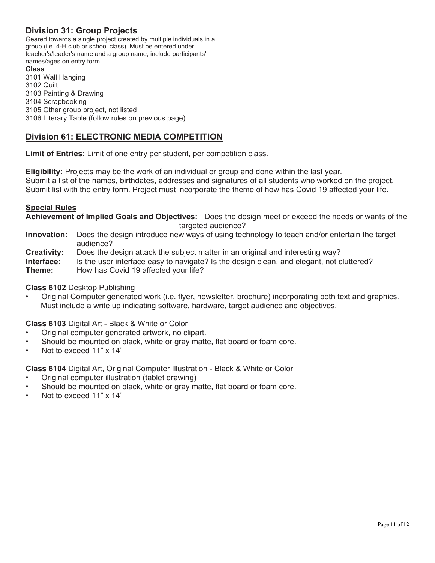# **Division 31: Group Projects**

Geared towards a single project created by multiple individuals in a group (i.e. 4-H club or school class). Must be entered under teacher's/leader's name and a group name; include participants' names/ages on entry form.

#### **Class**

3101 Wall Hanging 3102 Quilt 3103 Painting & Drawing 3104 Scrapbooking 3105 Other group project, not listed 3106 Literary Table (follow rules on previous page)

# **Division 61: ELECTRONIC MEDIA COMPETITION**

**Limit of Entries:** Limit of one entry per student, per competition class.

**Eligibility:** Projects may be the work of an individual or group and done within the last year. Submit a list of the names, birthdates, addresses and signatures of all students who worked on the project. Submit list with the entry form. Project must incorporate the theme of how has Covid 19 affected your life.

#### **Special Rules**

**Achievement of Implied Goals and Objectives:** Does the design meet or exceed the needs or wants of the targeted audience?

- **Innovation:** Does the design introduce new ways of using technology to teach and/or entertain the target audience?
- **Creativity:** Does the design attack the subject matter in an original and interesting way?
- **Interface:** Is the user interface easy to navigate? Is the design clean, and elegant, not cluttered?

**Theme:** How has Covid 19 affected your life?

#### **Class 6102** Desktop Publishing

• Original Computer generated work (i.e. flyer, newsletter, brochure) incorporating both text and graphics. Must include a write up indicating software, hardware, target audience and objectives.

**Class 6103** Digital Art - Black & White or Color

- Original computer generated artwork, no clipart.
- Should be mounted on black, white or gray matte, flat board or foam core.
- Not to exceed 11" x 14"

**Class 6104** Digital Art, Original Computer Illustration - Black & White or Color

- Original computer illustration (tablet drawing)
- Should be mounted on black, white or gray matte, flat board or foam core.
- Not to exceed 11" x 14"